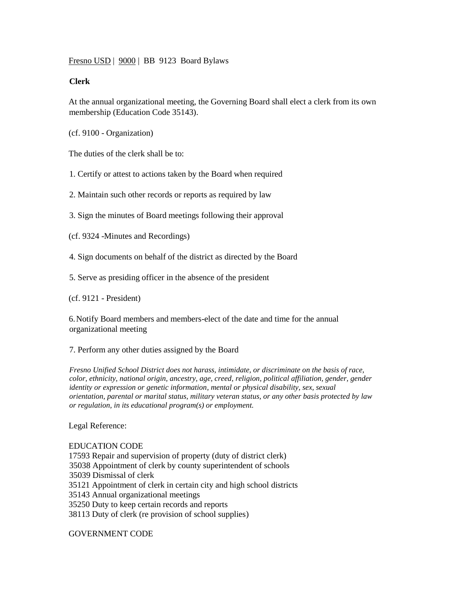Fresno USD | 9000 | BB 9123 Board Bylaws

## **Clerk**

At the annual organizational meeting, the Governing Board shall elect a clerk from its own membership (Education Code 35143).

(cf. 9100 - Organization)

The duties of the clerk shall be to:

1. Certify or attest to actions taken by the Board when required

2. Maintain such other records or reports as required by law

3. Sign the minutes of Board meetings following their approval

(cf. 9324 -Minutes and Recordings)

4. Sign documents on behalf of the district as directed by the Board

5. Serve as presiding officer in the absence of the president

(cf. 9121 - President)

6.Notify Board members and members-elect of the date and time for the annual organizational meeting

7. Perform any other duties assigned by the Board

*Fresno Unified School District does not harass, intimidate, or discriminate on the basis of race, color, ethnicity, national origin, ancestry, age, creed, religion, political affiliation, gender, gender identity or expression or genetic information, mental or physical disability, sex, sexual orientation, parental or marital status, military veteran status, or any other basis protected by law or regulation, in its educational program(s) or employment.*

Legal Reference:

## EDUCATION CODE

17593 Repair and supervision of property (duty of district clerk) 35038 Appointment of clerk by county superintendent of schools 35039 Dismissal of clerk 35121 Appointment of clerk in certain city and high school districts 35143 Annual organizational meetings 35250 Duty to keep certain records and reports 38113 Duty of clerk (re provision of school supplies)

GOVERNMENT CODE